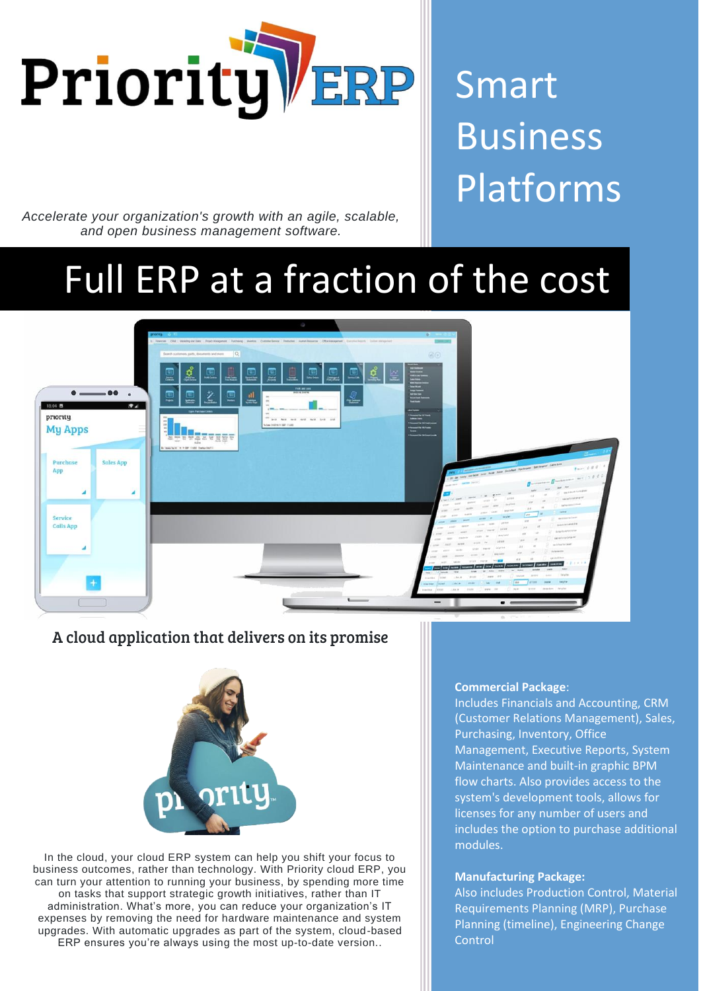

# Smart Business Platforms

*Accelerate your organization's growth with an agile, scalable, and open business management software.*

## Full ERP at a fraction of the cost



## A cloud application that delivers on its promise



In the cloud, your cloud ERP system can help you shift your focus to business outcomes, rather than technology. With Priority cloud ERP, you can turn your attention to running your business, by spending more time on tasks that support strategic growth initiatives, rather than IT administration. What's more, you can reduce your organization's IT expenses by removing the need for hardware maintenance and system upgrades. With automatic upgrades as part of the system, cloud-based ERP ensures you're always using the most up-to-date version..

#### **Commercial Package**:

Includes Financials and Accounting, CRM (Customer Relations Management), Sales, Purchasing, Inventory, Office Management, Executive Reports, System Maintenance and built-in graphic BPM flow charts. Also provides access to the system's development tools, allows for licenses for any number of users and includes the option to purchase additional modules.

#### **Manufacturing Package:**

Also includes Production Control, Material Requirements Planning (MRP), Purchase Planning (timeline), Engineering Change **Control**